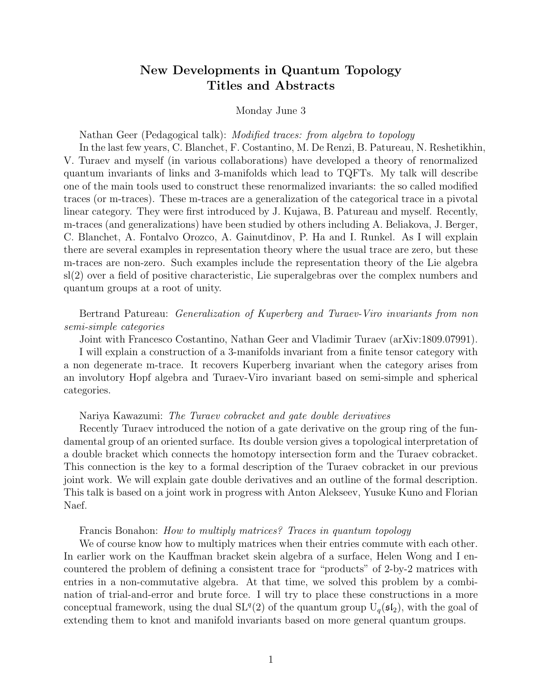# New Developments in Quantum Topology Titles and Abstracts

### Monday June 3

Nathan Geer (Pedagogical talk): *Modified traces: from algebra to topology* 

In the last few years, C. Blanchet, F. Costantino, M. De Renzi, B. Patureau, N. Reshetikhin, V. Turaev and myself (in various collaborations) have developed a theory of renormalized quantum invariants of links and 3-manifolds which lead to TQFTs. My talk will describe one of the main tools used to construct these renormalized invariants: the so called modified traces (or m-traces). These m-traces are a generalization of the categorical trace in a pivotal linear category. They were first introduced by J. Kujawa, B. Patureau and myself. Recently, m-traces (and generalizations) have been studied by others including A. Beliakova, J. Berger, C. Blanchet, A. Fontalvo Orozco, A. Gainutdinov, P. Ha and I. Runkel. As I will explain there are several examples in representation theory where the usual trace are zero, but these m-traces are non-zero. Such examples include the representation theory of the Lie algebra sl(2) over a field of positive characteristic, Lie superalgebras over the complex numbers and quantum groups at a root of unity.

# Bertrand Patureau: Generalization of Kuperberg and Turaev-Viro invariants from non semi-simple categories

Joint with Francesco Costantino, Nathan Geer and Vladimir Turaev (arXiv:1809.07991).

I will explain a construction of a 3-manifolds invariant from a finite tensor category with a non degenerate m-trace. It recovers Kuperberg invariant when the category arises from an involutory Hopf algebra and Turaev-Viro invariant based on semi-simple and spherical categories.

#### Nariya Kawazumi: The Turaev cobracket and gate double derivatives

Recently Turaev introduced the notion of a gate derivative on the group ring of the fundamental group of an oriented surface. Its double version gives a topological interpretation of a double bracket which connects the homotopy intersection form and the Turaev cobracket. This connection is the key to a formal description of the Turaev cobracket in our previous joint work. We will explain gate double derivatives and an outline of the formal description. This talk is based on a joint work in progress with Anton Alekseev, Yusuke Kuno and Florian Naef.

# Francis Bonahon: How to multiply matrices? Traces in quantum topology

We of course know how to multiply matrices when their entries commute with each other. In earlier work on the Kauffman bracket skein algebra of a surface, Helen Wong and I encountered the problem of defining a consistent trace for "products" of 2-by-2 matrices with entries in a non-commutative algebra. At that time, we solved this problem by a combination of trial-and-error and brute force. I will try to place these constructions in a more conceptual framework, using the dual  $SL<sup>q</sup>(2)$  of the quantum group  $U<sub>q</sub>(\mathfrak{sl}_2)$ , with the goal of extending them to knot and manifold invariants based on more general quantum groups.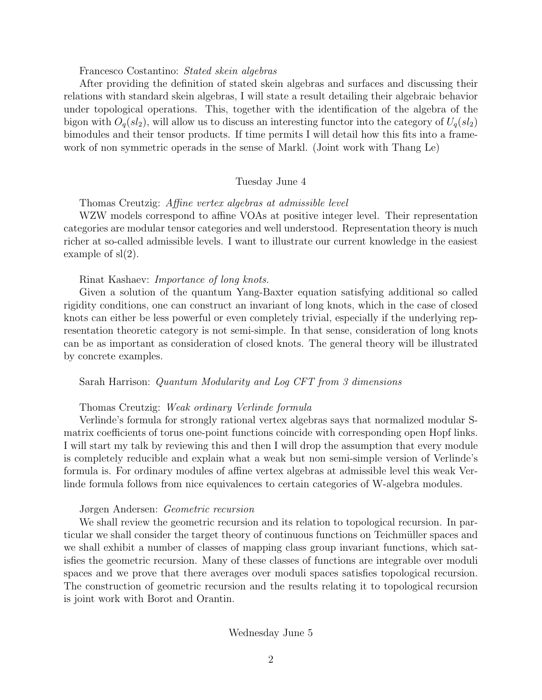#### Francesco Costantino: Stated skein algebras

After providing the definition of stated skein algebras and surfaces and discussing their relations with standard skein algebras, I will state a result detailing their algebraic behavior under topological operations. This, together with the identification of the algebra of the bigon with  $O_q(sl_2)$ , will allow us to discuss an interesting functor into the category of  $U_q(sl_2)$ bimodules and their tensor products. If time permits I will detail how this fits into a framework of non symmetric operads in the sense of Markl. (Joint work with Thang Le)

## Tuesday June 4

Thomas Creutzig: Affine vertex algebras at admissible level

WZW models correspond to affine VOAs at positive integer level. Their representation categories are modular tensor categories and well understood. Representation theory is much richer at so-called admissible levels. I want to illustrate our current knowledge in the easiest example of sl(2).

#### Rinat Kashaev: Importance of long knots.

Given a solution of the quantum Yang-Baxter equation satisfying additional so called rigidity conditions, one can construct an invariant of long knots, which in the case of closed knots can either be less powerful or even completely trivial, especially if the underlying representation theoretic category is not semi-simple. In that sense, consideration of long knots can be as important as consideration of closed knots. The general theory will be illustrated by concrete examples.

Sarah Harrison: Quantum Modularity and Log CFT from 3 dimensions

#### Thomas Creutzig: Weak ordinary Verlinde formula

Verlinde's formula for strongly rational vertex algebras says that normalized modular Smatrix coefficients of torus one-point functions coincide with corresponding open Hopf links. I will start my talk by reviewing this and then I will drop the assumption that every module is completely reducible and explain what a weak but non semi-simple version of Verlinde's formula is. For ordinary modules of affine vertex algebras at admissible level this weak Verlinde formula follows from nice equivalences to certain categories of W-algebra modules.

# Jørgen Andersen: Geometric recursion

We shall review the geometric recursion and its relation to topological recursion. In particular we shall consider the target theory of continuous functions on Teichmüller spaces and we shall exhibit a number of classes of mapping class group invariant functions, which satisfies the geometric recursion. Many of these classes of functions are integrable over moduli spaces and we prove that there averages over moduli spaces satisfies topological recursion. The construction of geometric recursion and the results relating it to topological recursion is joint work with Borot and Orantin.

### Wednesday June 5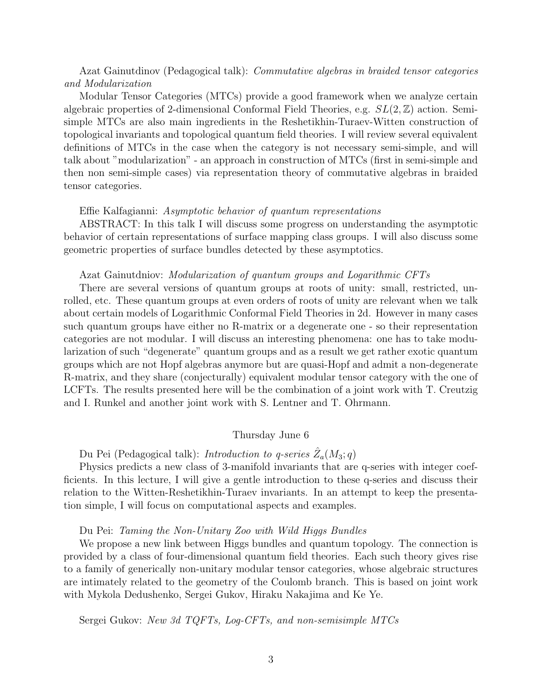# Azat Gainutdinov (Pedagogical talk): *Commutative algebras in braided tensor categories* and Modularization

Modular Tensor Categories (MTCs) provide a good framework when we analyze certain algebraic properties of 2-dimensional Conformal Field Theories, e.g.  $SL(2, \mathbb{Z})$  action. Semisimple MTCs are also main ingredients in the Reshetikhin-Turaev-Witten construction of topological invariants and topological quantum field theories. I will review several equivalent definitions of MTCs in the case when the category is not necessary semi-simple, and will talk about "modularization" - an approach in construction of MTCs (first in semi-simple and then non semi-simple cases) via representation theory of commutative algebras in braided tensor categories.

#### Effie Kalfagianni: Asymptotic behavior of quantum representations

ABSTRACT: In this talk I will discuss some progress on understanding the asymptotic behavior of certain representations of surface mapping class groups. I will also discuss some geometric properties of surface bundles detected by these asymptotics.

#### Azat Gainutdniov: *Modularization of quantum groups and Logarithmic CFTs*

There are several versions of quantum groups at roots of unity: small, restricted, unrolled, etc. These quantum groups at even orders of roots of unity are relevant when we talk about certain models of Logarithmic Conformal Field Theories in 2d. However in many cases such quantum groups have either no R-matrix or a degenerate one - so their representation categories are not modular. I will discuss an interesting phenomena: one has to take modularization of such "degenerate" quantum groups and as a result we get rather exotic quantum groups which are not Hopf algebras anymore but are quasi-Hopf and admit a non-degenerate R-matrix, and they share (conjecturally) equivalent modular tensor category with the one of LCFTs. The results presented here will be the combination of a joint work with T. Creutzig and I. Runkel and another joint work with S. Lentner and T. Ohrmann.

### Thursday June 6

Du Pei (Pedagogical talk): Introduction to q-series  $\hat{Z}_a(M_3; q)$ 

Physics predicts a new class of 3-manifold invariants that are q-series with integer coefficients. In this lecture, I will give a gentle introduction to these q-series and discuss their relation to the Witten-Reshetikhin-Turaev invariants. In an attempt to keep the presentation simple, I will focus on computational aspects and examples.

#### Du Pei: Taming the Non-Unitary Zoo with Wild Higgs Bundles

We propose a new link between Higgs bundles and quantum topology. The connection is provided by a class of four-dimensional quantum field theories. Each such theory gives rise to a family of generically non-unitary modular tensor categories, whose algebraic structures are intimately related to the geometry of the Coulomb branch. This is based on joint work with Mykola Dedushenko, Sergei Gukov, Hiraku Nakajima and Ke Ye.

Sergei Gukov: New 3d TQFTs, Log-CFTs, and non-semisimple MTCs